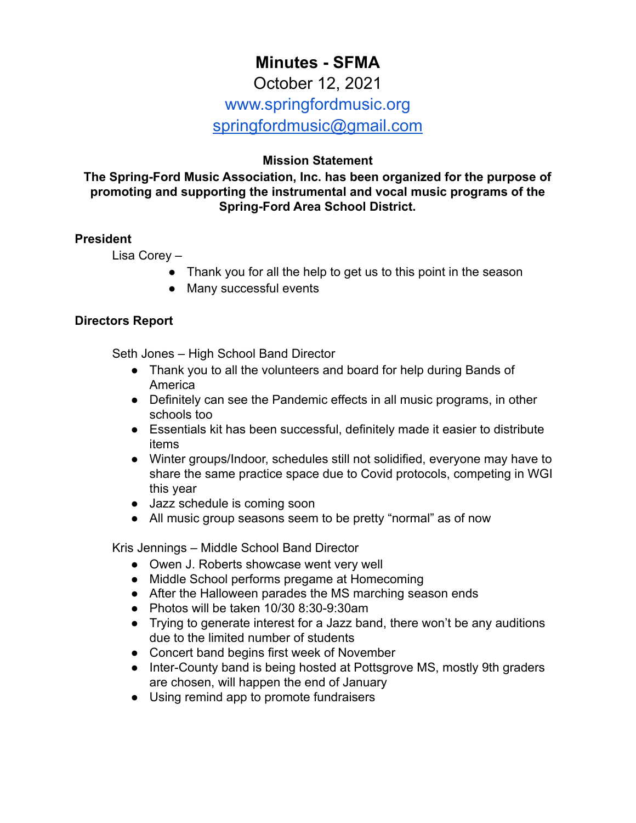# **Minutes - SFMA** October 12, 2021 www.springfordmusic.org

[springfordmusic@gmail.com](mailto:springfordmusic@gmail.com)

# **Mission Statement**

**The Spring-Ford Music Association, Inc. has been organized for the purpose of promoting and supporting the instrumental and vocal music programs of the Spring-Ford Area School District.**

#### **President**

Lisa Corey –

- Thank you for all the help to get us to this point in the season
- Many successful events

#### **Directors Report**

Seth Jones – High School Band Director

- Thank you to all the volunteers and board for help during Bands of America
- Definitely can see the Pandemic effects in all music programs, in other schools too
- Essentials kit has been successful, definitely made it easier to distribute items
- Winter groups/Indoor, schedules still not solidified, everyone may have to share the same practice space due to Covid protocols, competing in WGI this year
- Jazz schedule is coming soon
- All music group seasons seem to be pretty "normal" as of now

Kris Jennings – Middle School Band Director

- Owen J. Roberts showcase went very well
- Middle School performs pregame at Homecoming
- After the Halloween parades the MS marching season ends
- Photos will be taken 10/30 8:30-9:30am
- Trying to generate interest for a Jazz band, there won't be any auditions due to the limited number of students
- Concert band begins first week of November
- Inter-County band is being hosted at Pottsgrove MS, mostly 9th graders are chosen, will happen the end of January
- Using remind app to promote fundraisers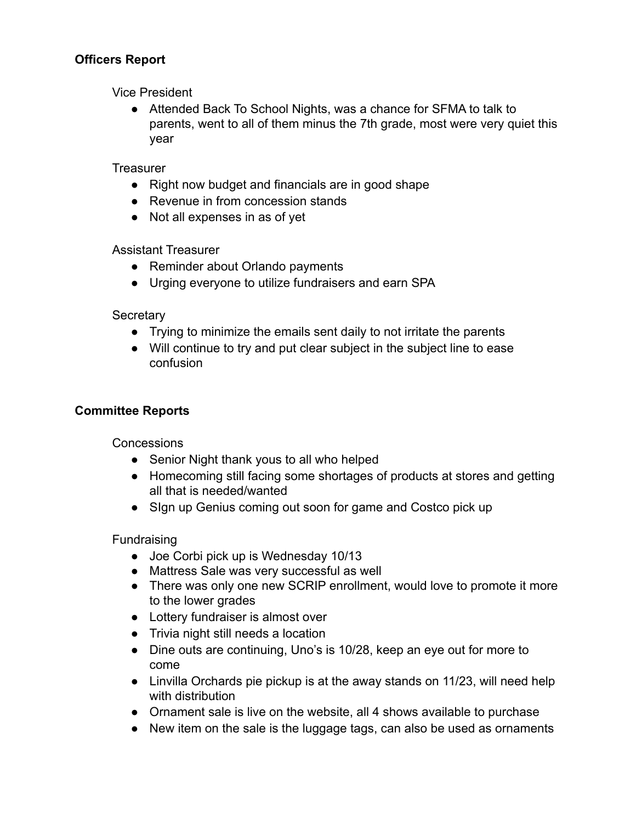#### **Officers Report**

Vice President

● Attended Back To School Nights, was a chance for SFMA to talk to parents, went to all of them minus the 7th grade, most were very quiet this year

**Treasurer** 

- Right now budget and financials are in good shape
- Revenue in from concession stands
- Not all expenses in as of yet

Assistant Treasurer

- Reminder about Orlando payments
- Urging everyone to utilize fundraisers and earn SPA

**Secretary** 

- Trying to minimize the emails sent daily to not irritate the parents
- Will continue to try and put clear subject in the subject line to ease confusion

#### **Committee Reports**

Concessions

- Senior Night thank yous to all who helped
- Homecoming still facing some shortages of products at stores and getting all that is needed/wanted
- Sign up Genius coming out soon for game and Costco pick up

Fundraising

- Joe Corbi pick up is Wednesday 10/13
- Mattress Sale was very successful as well
- **●** There was only one new SCRIP enrollment, would love to promote it more to the lower grades
- Lottery fundraiser is almost over
- Trivia night still needs a location
- Dine outs are continuing, Uno's is 10/28, keep an eye out for more to come
- Linvilla Orchards pie pickup is at the away stands on 11/23, will need help with distribution
- Ornament sale is live on the website, all 4 shows available to purchase
- New item on the sale is the luggage tags, can also be used as ornaments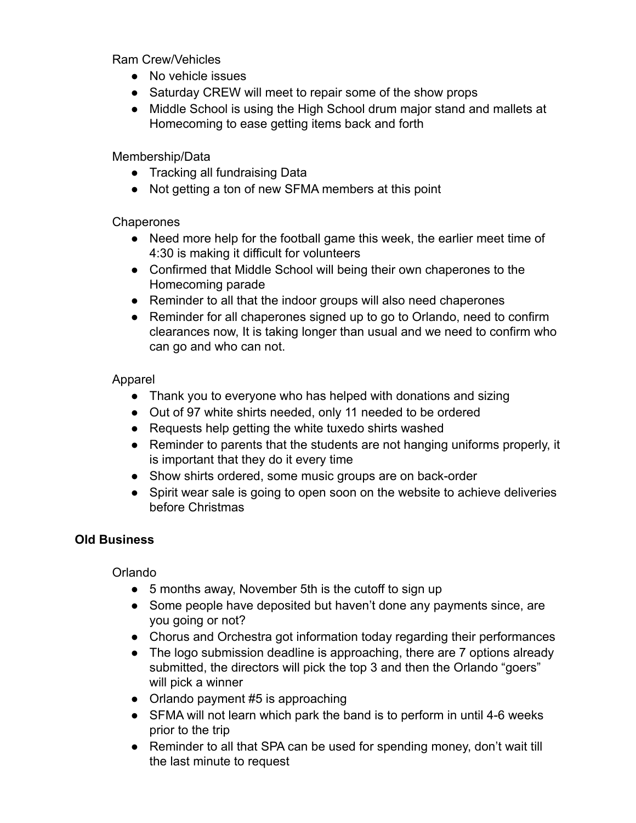Ram Crew/Vehicles

- No vehicle issues
- Saturday CREW will meet to repair some of the show props
- Middle School is using the High School drum major stand and mallets at Homecoming to ease getting items back and forth

Membership/Data

- Tracking all fundraising Data
- Not getting a ton of new SFMA members at this point

## **Chaperones**

- Need more help for the football game this week, the earlier meet time of 4:30 is making it difficult for volunteers
- Confirmed that Middle School will being their own chaperones to the Homecoming parade
- Reminder to all that the indoor groups will also need chaperones
- Reminder for all chaperones signed up to go to Orlando, need to confirm clearances now, It is taking longer than usual and we need to confirm who can go and who can not.

#### Apparel

- Thank you to everyone who has helped with donations and sizing
- Out of 97 white shirts needed, only 11 needed to be ordered
- Requests help getting the white tuxedo shirts washed
- Reminder to parents that the students are not hanging uniforms properly, it is important that they do it every time
- Show shirts ordered, some music groups are on back-order
- Spirit wear sale is going to open soon on the website to achieve deliveries before Christmas

## **Old Business**

## Orlando

- 5 months away, November 5th is the cutoff to sign up
- Some people have deposited but haven't done any payments since, are you going or not?
- Chorus and Orchestra got information today regarding their performances
- The logo submission deadline is approaching, there are 7 options already submitted, the directors will pick the top 3 and then the Orlando "goers" will pick a winner
- Orlando payment #5 is approaching
- SFMA will not learn which park the band is to perform in until 4-6 weeks prior to the trip
- Reminder to all that SPA can be used for spending money, don't wait till the last minute to request